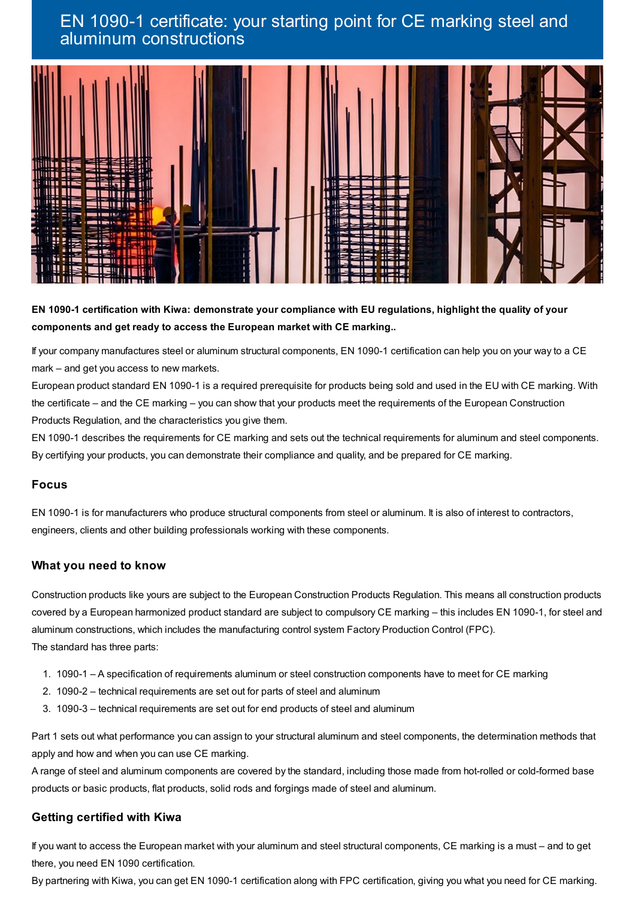# EN 1090-1 certificate: your starting point for CE marking steel and aluminum constructions



EN 1090-1 certification with Kiwa: demonstrate your compliance with EU regulations, highlight the quality of your **components and get ready to access the European market with CE marking..**

If your company manufactures steel or aluminum structural components, EN 1090-1 certification can help you on your way to a CE mark – and get you access to new markets.

European product standard EN 1090-1 is a required prerequisite for products being sold and used in the EU with CE marking. With the certificate – and the CE marking – you can show that your products meet the requirements of the European Construction Products Regulation, and the characteristics you give them.

EN 1090-1 describes the requirements for CE marking and sets out the technical requirements for aluminum and steel components. By certifying your products, you can demonstrate their compliance and quality, and be prepared for CE marking.

### **Focus**

EN 1090-1 is for manufacturers who produce structural components from steel or aluminum. It is also of interest to contractors, engineers, clients and other building professionals working with these components.

### **What you need to know**

Construction products like yours are subject to the European Construction Products Regulation. This means all construction products covered by a European harmonized product standard are subject to compulsory CE marking – this includes EN 1090-1, for steel and aluminum constructions, which includes the manufacturing control system Factory Production Control (FPC). The standard has three parts:

- 1. 1090-1 A specification of requirements aluminum or steel construction components have to meet for CE marking
- 2. 1090-2 technical requirements are set out for parts of steel and aluminum
- 3. 1090-3 technical requirements are set out for end products of steel and aluminum

Part 1 sets out what performance you can assign to your structural aluminum and steel components, the determination methods that apply and how and when you can use CE marking.

A range of steel and aluminum components are covered by the standard, including those made from hot-rolled or cold-formed base products or basic products, flat products, solid rods and forgings made of steel and aluminum.

## **Getting certified with Kiwa**

If you want to access the European market with your aluminum and steel structural components, CE marking is a must – and to get there, you need EN 1090 certification.

By partnering with Kiwa, you can get EN 1090-1 certification along with FPC certification, giving you what you need for CE marking.